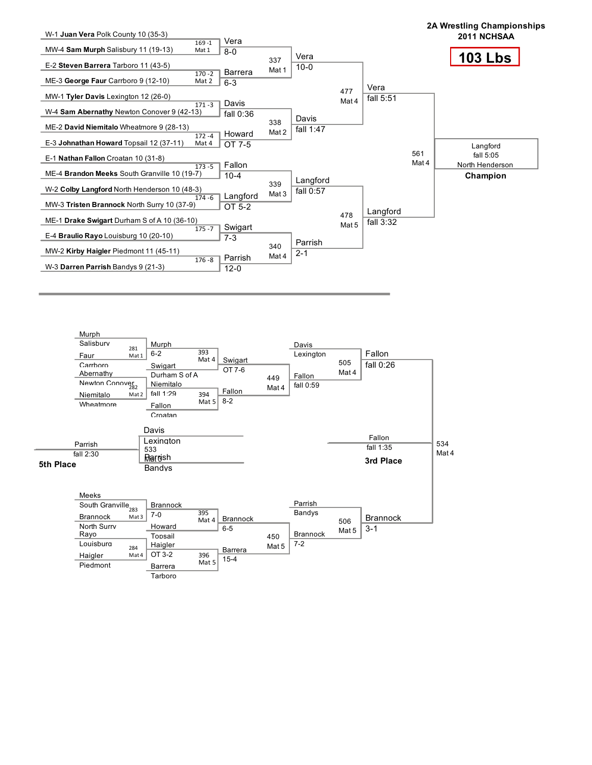

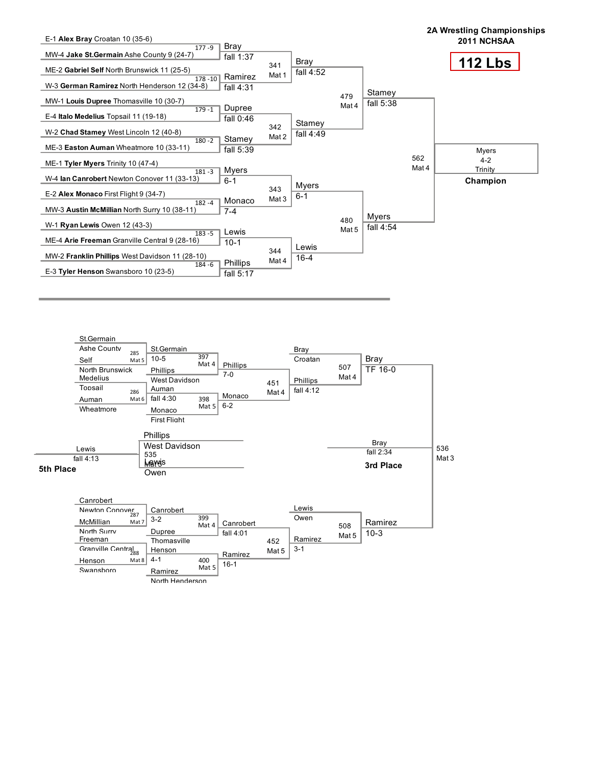

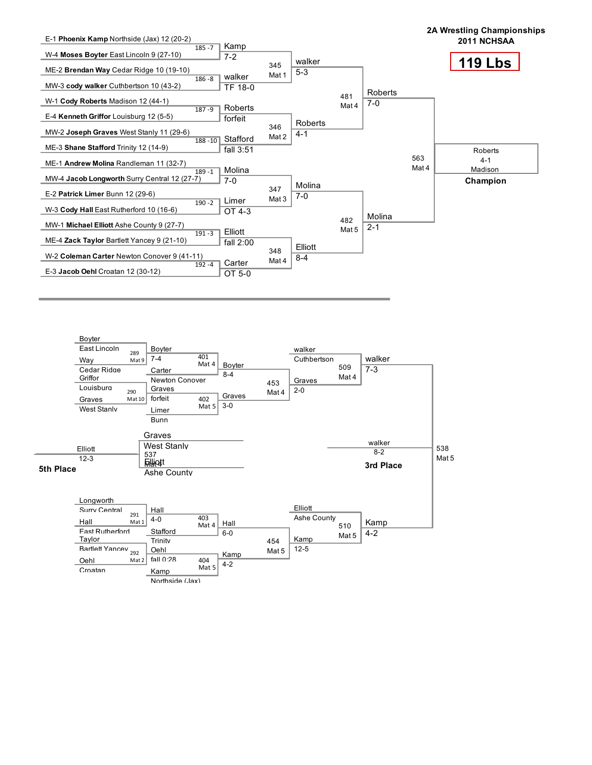

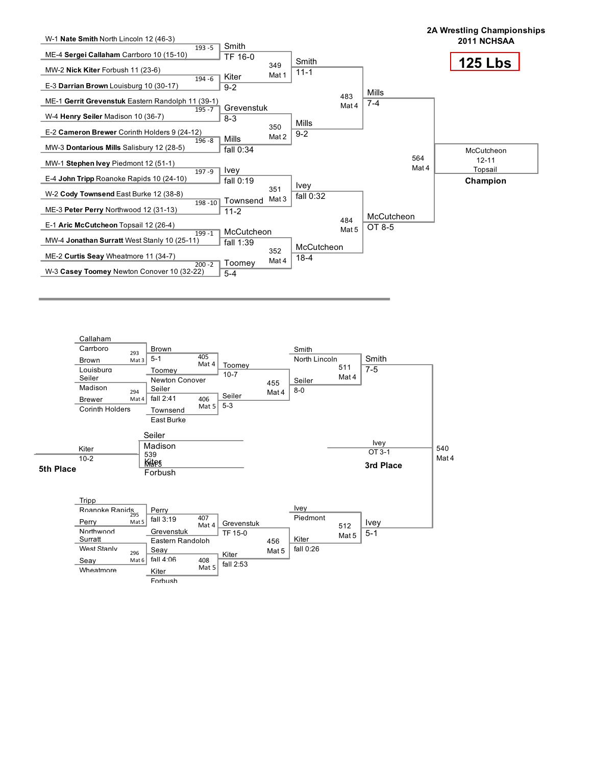

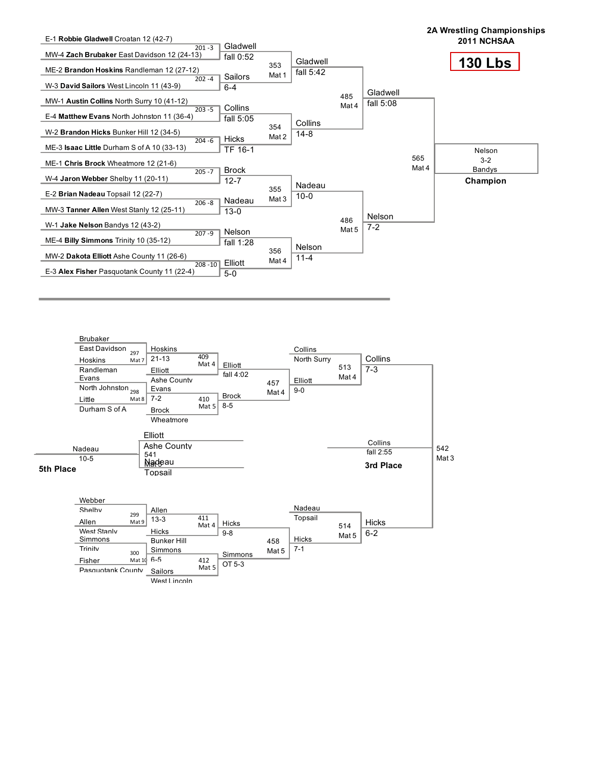

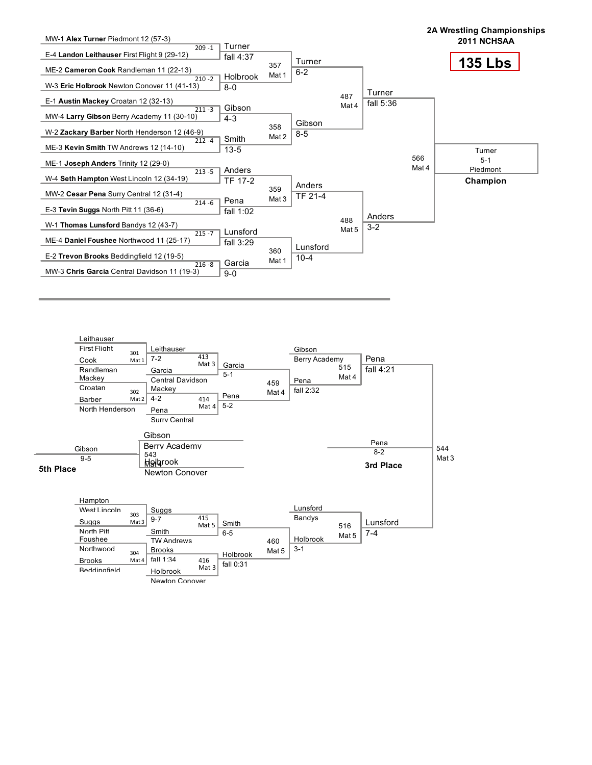

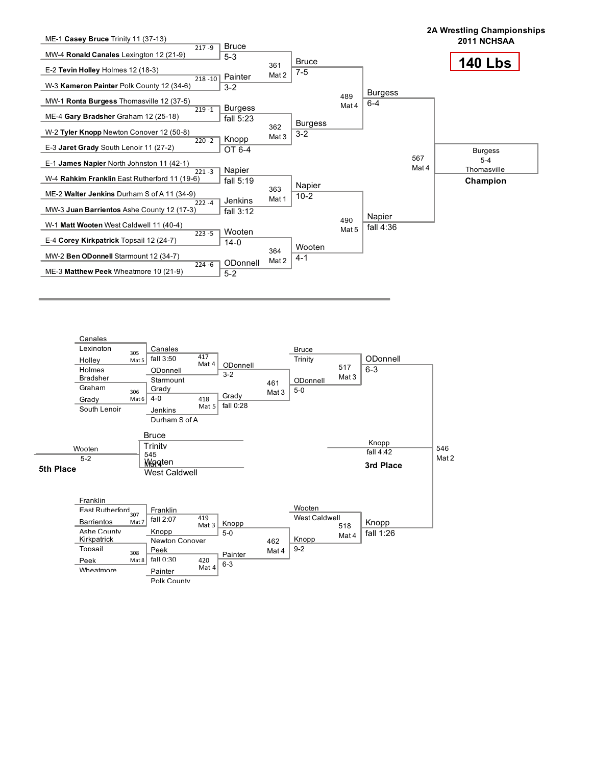

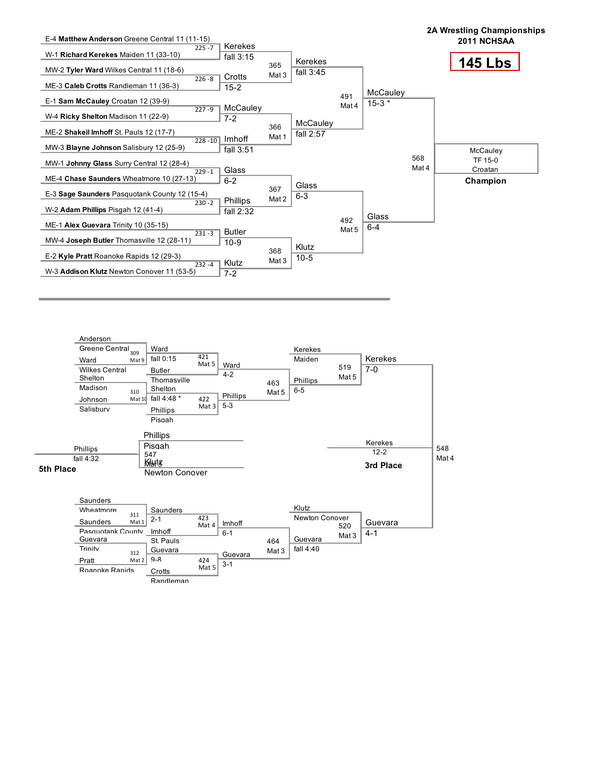

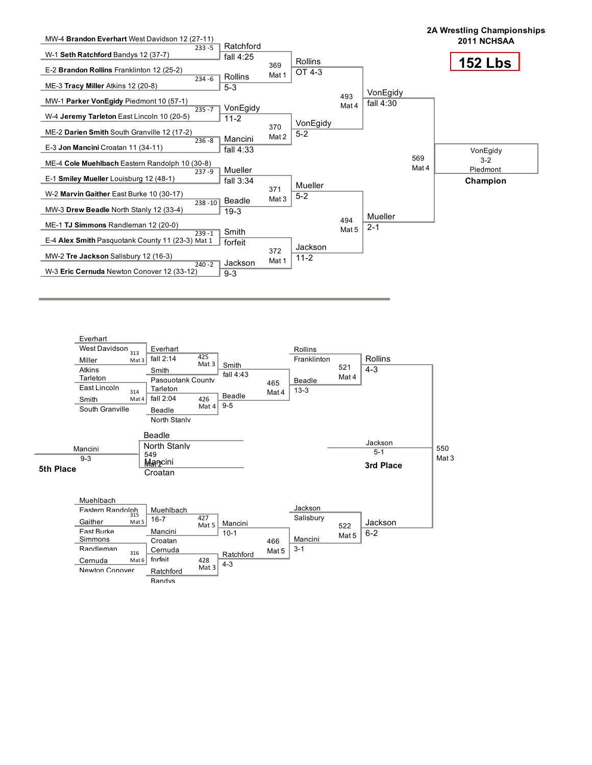

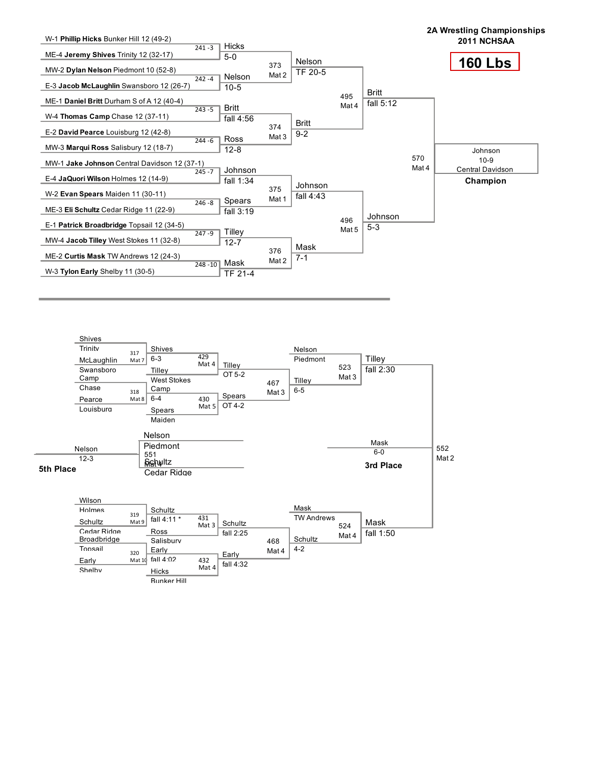

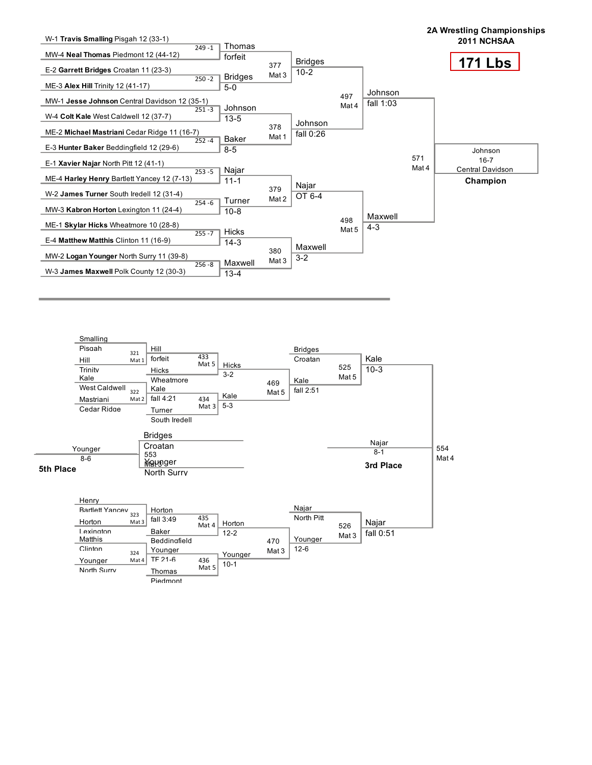

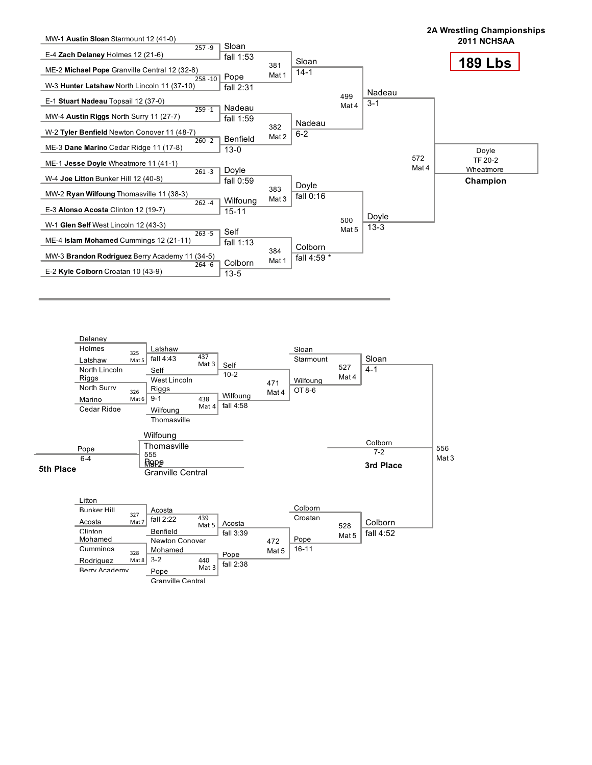

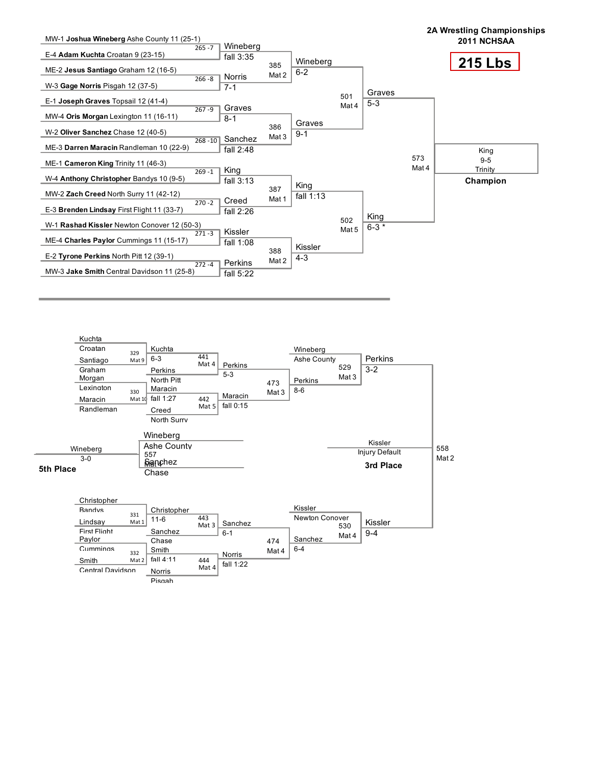